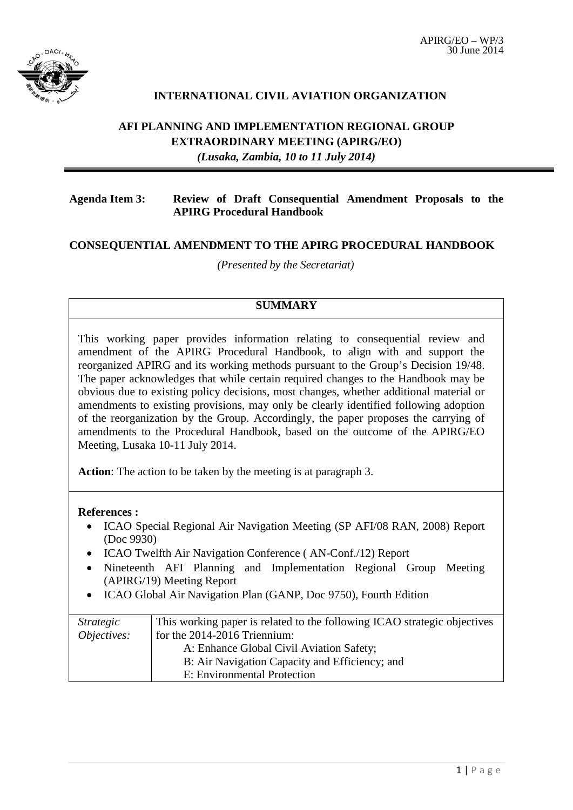

## **INTERNATIONAL CIVIL AVIATION ORGANIZATION**

# **AFI PLANNING AND IMPLEMENTATION REGIONAL GROUP EXTRAORDINARY MEETING (APIRG/EO)** *(Lusaka, Zambia, 10 to 11 July 2014)*

#### **Agenda Item 3: Review of Draft Consequential Amendment Proposals to the APIRG Procedural Handbook**

### **CONSEQUENTIAL AMENDMENT TO THE APIRG PROCEDURAL HANDBOOK**

*(Presented by the Secretariat)*

### **SUMMARY**

This working paper provides information relating to consequential review and amendment of the APIRG Procedural Handbook, to align with and support the reorganized APIRG and its working methods pursuant to the Group's Decision 19/48. The paper acknowledges that while certain required changes to the Handbook may be obvious due to existing policy decisions, most changes, whether additional material or amendments to existing provisions, may only be clearly identified following adoption of the reorganization by the Group. Accordingly, the paper proposes the carrying of amendments to the Procedural Handbook, based on the outcome of the APIRG/EO Meeting, Lusaka 10-11 July 2014.

**Action**: The action to be taken by the meeting is at paragraph 3.

#### **References :**

- ICAO Special Regional Air Navigation Meeting (SP AFI/08 RAN, 2008) Report (Doc 9930)
- ICAO Twelfth Air Navigation Conference (AN-Conf./12) Report
- Nineteenth AFI Planning and Implementation Regional Group Meeting (APIRG/19) Meeting Report
- ICAO Global Air Navigation Plan (GANP, Doc 9750), Fourth Edition

| <i>Strategic</i>   | This working paper is related to the following ICAO strategic objectives |
|--------------------|--------------------------------------------------------------------------|
| <i>Objectives:</i> | for the $2014-2016$ Triennium:                                           |
|                    | A: Enhance Global Civil Aviation Safety;                                 |
|                    | B: Air Navigation Capacity and Efficiency; and                           |
|                    | E: Environmental Protection                                              |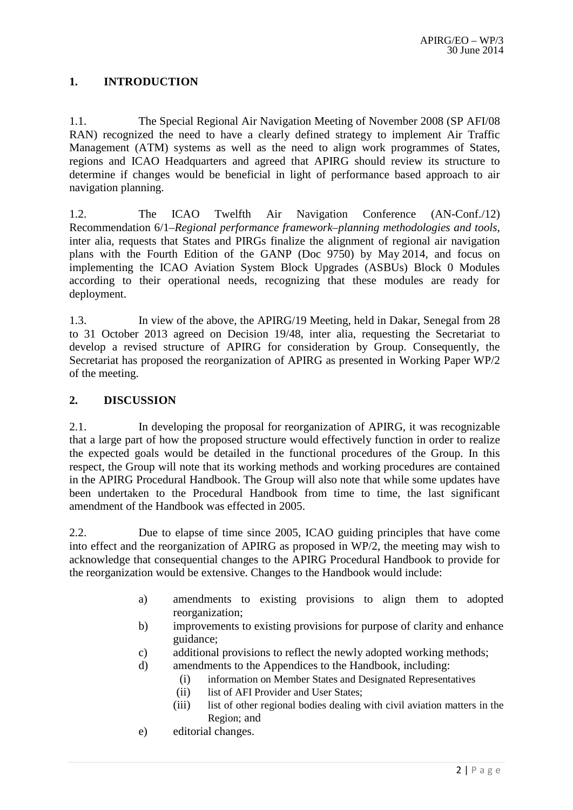## **1. INTRODUCTION**

1.1. The Special Regional Air Navigation Meeting of November 2008 (SP AFI/08 RAN) recognized the need to have a clearly defined strategy to implement Air Traffic Management (ATM) systems as well as the need to align work programmes of States, regions and ICAO Headquarters and agreed that APIRG should review its structure to determine if changes would be beneficial in light of performance based approach to air navigation planning.

1.2. The ICAO Twelfth Air Navigation Conference (AN-Conf./12) Recommendation 6/1–*Regional performance framework–planning methodologies and tools*, inter alia, requests that States and PIRGs finalize the alignment of regional air navigation plans with the Fourth Edition of the GANP (Doc 9750) by May 2014, and focus on implementing the ICAO Aviation System Block Upgrades (ASBUs) Block 0 Modules according to their operational needs, recognizing that these modules are ready for deployment.

1.3. In view of the above, the APIRG/19 Meeting, held in Dakar, Senegal from 28 to 31 October 2013 agreed on Decision 19/48, inter alia, requesting the Secretariat to develop a revised structure of APIRG for consideration by Group. Consequently, the Secretariat has proposed the reorganization of APIRG as presented in Working Paper WP/2 of the meeting.

#### **2. DISCUSSION**

2.1. In developing the proposal for reorganization of APIRG, it was recognizable that a large part of how the proposed structure would effectively function in order to realize the expected goals would be detailed in the functional procedures of the Group. In this respect, the Group will note that its working methods and working procedures are contained in the APIRG Procedural Handbook. The Group will also note that while some updates have been undertaken to the Procedural Handbook from time to time, the last significant amendment of the Handbook was effected in 2005.

2.2. Due to elapse of time since 2005, ICAO guiding principles that have come into effect and the reorganization of APIRG as proposed in WP/2, the meeting may wish to acknowledge that consequential changes to the APIRG Procedural Handbook to provide for the reorganization would be extensive. Changes to the Handbook would include:

- a) amendments to existing provisions to align them to adopted reorganization;
- b) improvements to existing provisions for purpose of clarity and enhance guidance;
- c) additional provisions to reflect the newly adopted working methods;
- d) amendments to the Appendices to the Handbook, including:
	- (i) information on Member States and Designated Representatives
	- (ii) list of AFI Provider and User States:
	- (iii) list of other regional bodies dealing with civil aviation matters in the Region; and
- e) editorial changes.